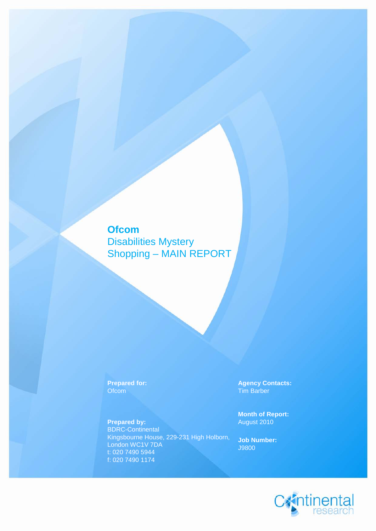## **Ofcom**

Disabilities Mystery Shopping – MAIN REPORT

**Prepared by:** BDRC-Continental Kingsbourne House, 229-231 High Holborn, London WC1V 7DA t: 020 7490 5944 f: 020 7490 1174

**Prepared for: Agency Contacts:**<br> **Compared for: Agency Contacts:**<br> **Compared for: Agency Contacts:** Tim Barber

**Month of Report:**

**Job Number:** J9800

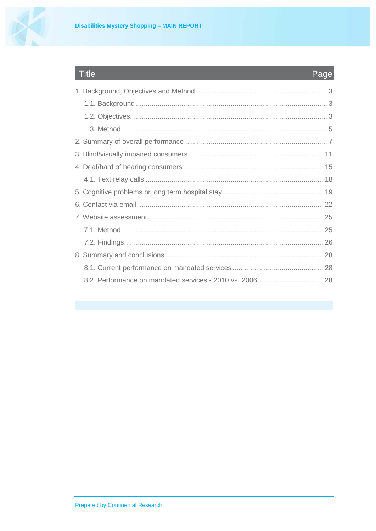Title



# Page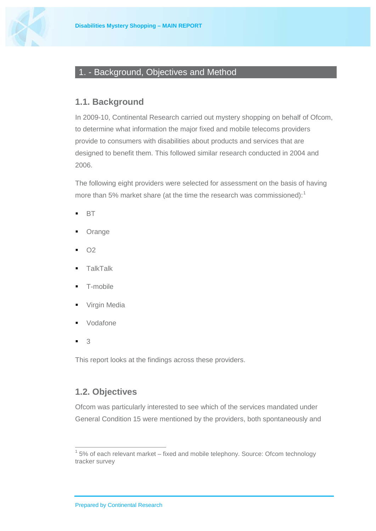

### <span id="page-2-0"></span>1. - Background, Objectives and Method

#### <span id="page-2-1"></span>**1.1. Background**

In 2009-10, Continental Research carried out mystery shopping on behalf of Ofcom, to determine what information the major fixed and mobile telecoms providers provide to consumers with disabilities about products and services that are designed to benefit them. This followed similar research conducted in 2004 and 2006.

The following eight providers were selected for assessment on the basis of having more than 5% market share (at the time the research was commissioned):<sup>[1](#page-2-3)</sup>

- $-BT$
- **Orange**
- O2
- **TalkTalk**
- T-mobile
- **Virgin Media**
- Vodafone
- 3

This report looks at the findings across these providers.

#### <span id="page-2-2"></span>**1.2. Objectives**

Ofcom was particularly interested to see which of the services mandated under General Condition 15 were mentioned by the providers, both spontaneously and

<span id="page-2-3"></span> $1$  5% of each relevant market – fixed and mobile telephony. Source: Ofcom technology tracker survey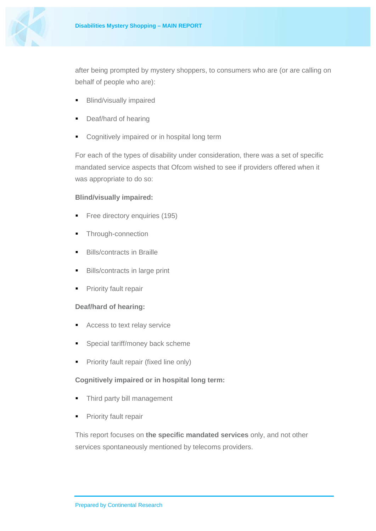

after being prompted by mystery shoppers, to consumers who are (or are calling on behalf of people who are):

- **Blind/visually impaired**
- Deaf/hard of hearing
- **Cognitively impaired or in hospital long term**

For each of the types of disability under consideration, there was a set of specific mandated service aspects that Ofcom wished to see if providers offered when it was appropriate to do so:

#### **Blind/visually impaired:**

- Free directory enquiries (195)
- **Through-connection**
- Bills/contracts in Braille
- **Bills/contracts in large print**
- **Priority fault repair**

#### **Deaf/hard of hearing:**

- Access to text relay service
- Special tariff/money back scheme
- **Priority fault repair (fixed line only)**

#### **Cognitively impaired or in hospital long term:**

- Third party bill management
- **Priority fault repair**

This report focuses on **the specific mandated services** only, and not other services spontaneously mentioned by telecoms providers.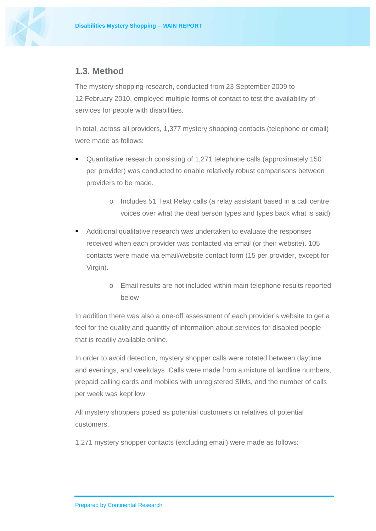

#### **1.3. Method**

<span id="page-4-0"></span>The mystery shopping research, conducted from 23 September 2009 to 12 February 2010, employed multiple forms of contact to test the availability of services for people with disabilities.

In total, across all providers, 1,377 mystery shopping contacts (telephone or email) were made as follows:

- Quantitative research consisting of 1,271 telephone calls (approximately 150 per provider) was conducted to enable relatively robust comparisons between providers to be made.
	- o Includes 51 Text Relay calls (a relay assistant based in a call centre voices over what the deaf person types and types back what is said)
- Additional qualitative research was undertaken to evaluate the responses received when each provider was contacted via email (or their website). 105 contacts were made via email/website contact form (15 per provider, except for Virgin).
	- o Email results are not included within main telephone results reported below

In addition there was also a one-off assessment of each provider's website to get a feel for the quality and quantity of information about services for disabled people that is readily available online.

In order to avoid detection, mystery shopper calls were rotated between daytime and evenings, and weekdays. Calls were made from a mixture of landline numbers, prepaid calling cards and mobiles with unregistered SIMs, and the number of calls per week was kept low.

All mystery shoppers posed as potential customers or relatives of potential customers.

1,271 mystery shopper contacts (excluding email) were made as follows: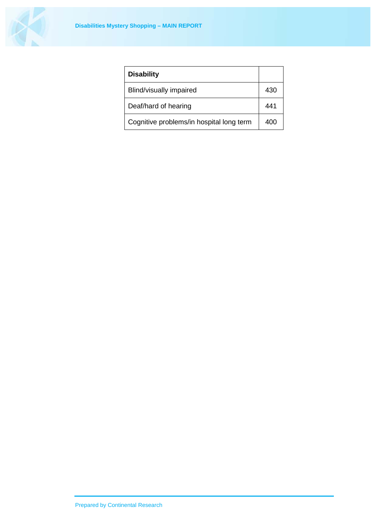

| <b>Disability</b>                        |     |
|------------------------------------------|-----|
| Blind/visually impaired                  | 430 |
| Deaf/hard of hearing                     | 441 |
| Cognitive problems/in hospital long term |     |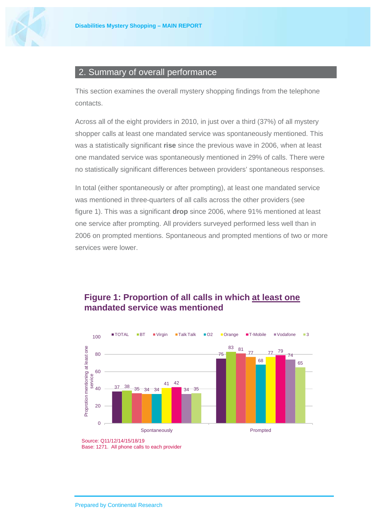

#### <span id="page-6-0"></span>2. Summary of overall performance

This section examines the overall mystery shopping findings from the telephone contacts.

Across all of the eight providers in 2010, in just over a third (37%) of all mystery shopper calls at least one mandated service was spontaneously mentioned. This was a statistically significant **rise** since the previous wave in 2006, when at least one mandated service was spontaneously mentioned in 29% of calls. There were no statistically significant differences between providers' spontaneous responses.

In total (either spontaneously or after prompting), at least one mandated service was mentioned in three-quarters of all calls across the other providers (see figure 1). This was a significant **drop** since 2006, where 91% mentioned at least one service after prompting. All providers surveyed performed less well than in 2006 on prompted mentions. Spontaneous and prompted mentions of two or more services were lower.

#### **Figure 1: Proportion of all calls in which at least one mandated service was mentioned**



Source: Q11/12/14/15/18/19 Base: 1271. All phone calls to each provider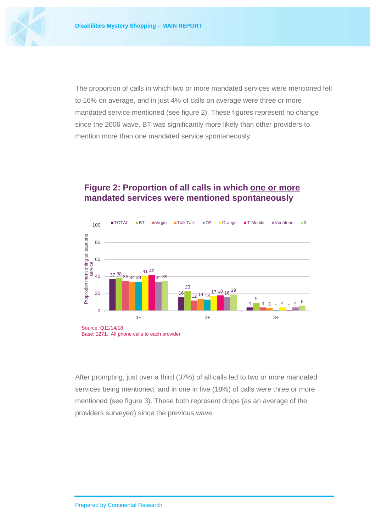

The proportion of calls in which two or more mandated services were mentioned fell to 16% on average, and in just 4% of calls on average were three or more mandated service mentioned (see figure 2). These figures represent no change since the 2006 wave. BT was significantly more likely than other providers to mention more than one mandated service spontaneously.

#### **Figure 2: Proportion of all calls in which one or more mandated services were mentioned spontaneously**



After prompting, just over a third (37%) of all calls led to two or more mandated services being mentioned, and in one in five (18%) of calls were three or more mentioned (see figure 3). These both represent drops (as an average of the providers surveyed) since the previous wave.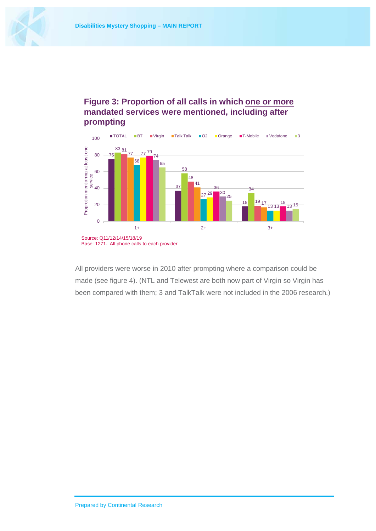



#### **Figure 3: Proportion of all calls in which one or more mandated services were mentioned, including after prompting**

All providers were worse in 2010 after prompting where a comparison could be made (see figure 4). (NTL and Telewest are both now part of Virgin so Virgin has been compared with them; 3 and TalkTalk were not included in the 2006 research.)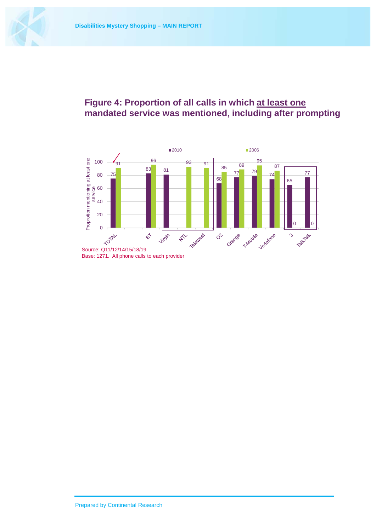

## **Figure 4: Proportion of all calls in which at least one mandated service was mentioned, including after prompting**

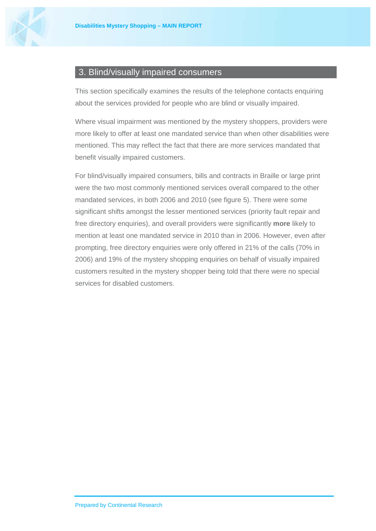

#### <span id="page-10-0"></span>3. Blind/visually impaired consumers

This section specifically examines the results of the telephone contacts enquiring about the services provided for people who are blind or visually impaired.

Where visual impairment was mentioned by the mystery shoppers, providers were more likely to offer at least one mandated service than when other disabilities were mentioned. This may reflect the fact that there are more services mandated that benefit visually impaired customers.

For blind/visually impaired consumers, bills and contracts in Braille or large print were the two most commonly mentioned services overall compared to the other mandated services, in both 2006 and 2010 (see figure 5). There were some significant shifts amongst the lesser mentioned services (priority fault repair and free directory enquiries), and overall providers were significantly **more** likely to mention at least one mandated service in 2010 than in 2006. However, even after prompting, free directory enquiries were only offered in 21% of the calls (70% in 2006) and 19% of the mystery shopping enquiries on behalf of visually impaired customers resulted in the mystery shopper being told that there were no special services for disabled customers.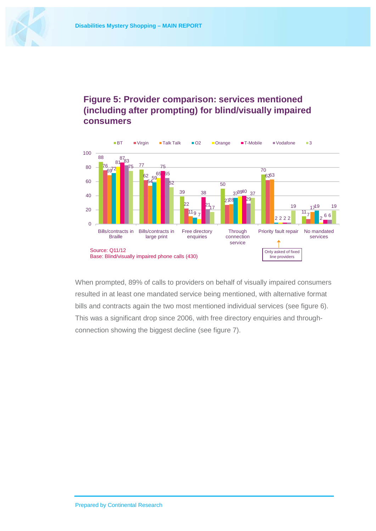

### **Figure 5: Provider comparison: services mentioned (including after prompting) for blind/visually impaired consumers**



When prompted, 89% of calls to providers on behalf of visually impaired consumers resulted in at least one mandated service being mentioned, with alternative format bills and contracts again the two most mentioned individual services (see figure 6). This was a significant drop since 2006, with free directory enquiries and throughconnection showing the biggest decline (see figure 7).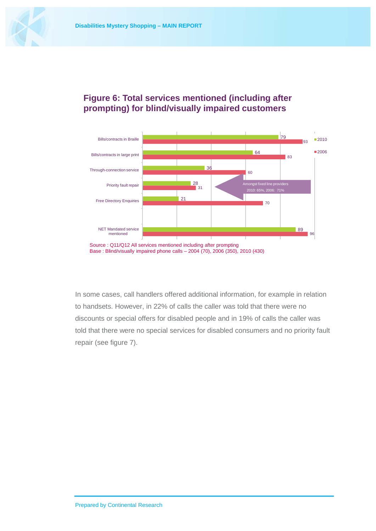

### **Figure 6: Total services mentioned (including after prompting) for blind/visually impaired customers**



In some cases, call handlers offered additional information, for example in relation to handsets. However, in 22% of calls the caller was told that there were no discounts or special offers for disabled people and in 19% of calls the caller was told that there were no special services for disabled consumers and no priority fault repair (see figure 7).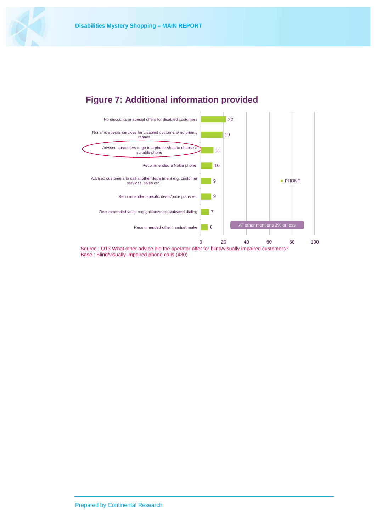





Base : Blind/visually impaired phone calls (430)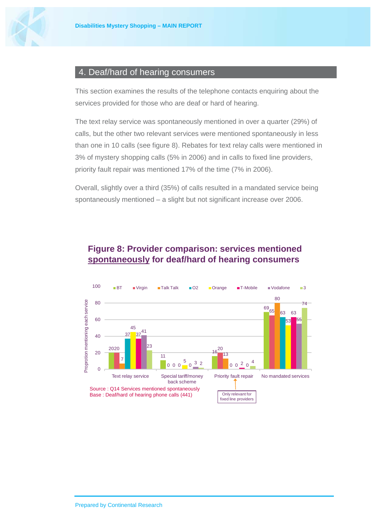

#### <span id="page-14-0"></span>4. Deaf/hard of hearing consumers

This section examines the results of the telephone contacts enquiring about the services provided for those who are deaf or hard of hearing.

The text relay service was spontaneously mentioned in over a quarter (29%) of calls, but the other two relevant services were mentioned spontaneously in less than one in 10 calls (see figure 8). Rebates for text relay calls were mentioned in 3% of mystery shopping calls (5% in 2006) and in calls to fixed line providers, priority fault repair was mentioned 17% of the time (7% in 2006).

Overall, slightly over a third (35%) of calls resulted in a mandated service being spontaneously mentioned – a slight but not significant increase over 2006.



#### **Figure 8: Provider comparison: services mentioned spontaneously for deaf/hard of hearing consumers**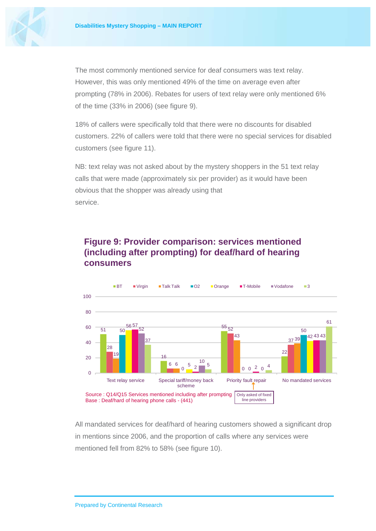

The most commonly mentioned service for deaf consumers was text relay. However, this was only mentioned 49% of the time on average even after prompting (78% in 2006). Rebates for users of text relay were only mentioned 6% of the time (33% in 2006) (see figure 9).

18% of callers were specifically told that there were no discounts for disabled customers. 22% of callers were told that there were no special services for disabled customers (see figure 11).

NB: text relay was not asked about by the mystery shoppers in the 51 text relay calls that were made (approximately six per provider) as it would have been obvious that the shopper was already using that service.

## **Figure 9: Provider comparison: services mentioned (including after prompting) for deaf/hard of hearing consumers**



All mandated services for deaf/hard of hearing customers showed a significant drop in mentions since 2006, and the proportion of calls where any services were mentioned fell from 82% to 58% (see figure 10).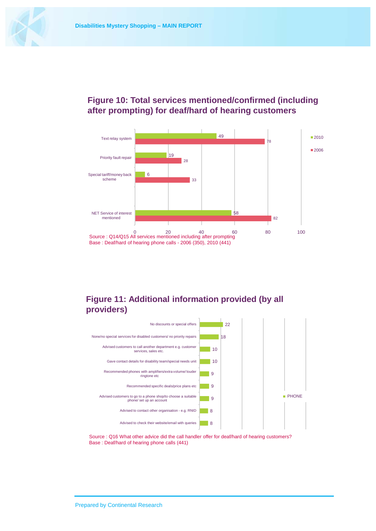

#### **Figure 10: Total services mentioned/confirmed (including after prompting) for deaf/hard of hearing customers**



#### **Figure 11: Additional information provided (by all providers)**



Source : Q16 What other advice did the call handler offer for deaf/hard of hearing customers? Base : Deaf/hard of hearing phone calls (441)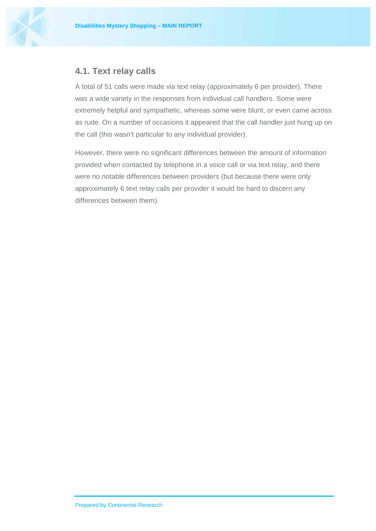

#### **4.1. Text relay calls**

<span id="page-17-0"></span>A total of 51 calls were made via text relay (approximately 6 per provider). There was a wide variety in the responses from individual call handlers. Some were extremely helpful and sympathetic, whereas some were blunt, or even came across as rude. On a number of occasions it appeared that the call handler just hung up on the call (this wasn't particular to any individual provider).

However, there were no significant differences between the amount of information provided when contacted by telephone in a voice call or via text relay, and there were no notable differences between providers (but because there were only approximately 6 text relay calls per provider it would be hard to discern any differences between them).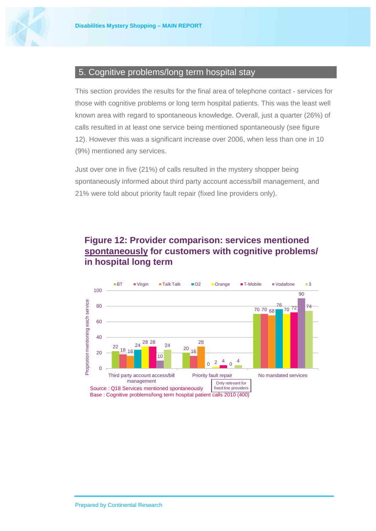

#### <span id="page-18-0"></span>5. Cognitive problems/long term hospital stay

This section provides the results for the final area of telephone contact - services for those with cognitive problems or long term hospital patients. This was the least well known area with regard to spontaneous knowledge. Overall, just a quarter (26%) of calls resulted in at least one service being mentioned spontaneously (see figure 12). However this was a significant increase over 2006, when less than one in 10 (9%) mentioned any services.

Just over one in five (21%) of calls resulted in the mystery shopper being spontaneously informed about third party account access/bill management, and 21% were told about priority fault repair (fixed line providers only).

### **Figure 12: Provider comparison: services mentioned spontaneously for customers with cognitive problems/ in hospital long term**

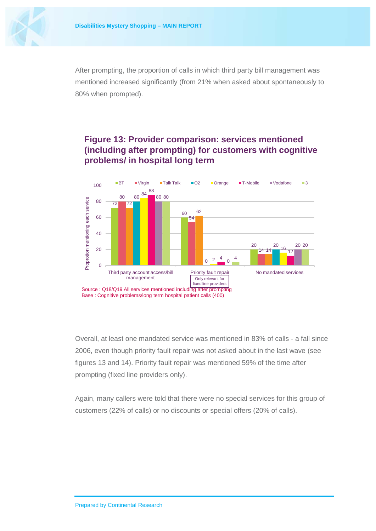

After prompting, the proportion of calls in which third party bill management was mentioned increased significantly (from 21% when asked about spontaneously to 80% when prompted).

#### **Figure 13: Provider comparison: services mentioned (including after prompting) for customers with cognitive problems/ in hospital long term**



Overall, at least one mandated service was mentioned in 83% of calls - a fall since 2006, even though priority fault repair was not asked about in the last wave (see figures 13 and 14). Priority fault repair was mentioned 59% of the time after prompting (fixed line providers only).

Again, many callers were told that there were no special services for this group of customers (22% of calls) or no discounts or special offers (20% of calls).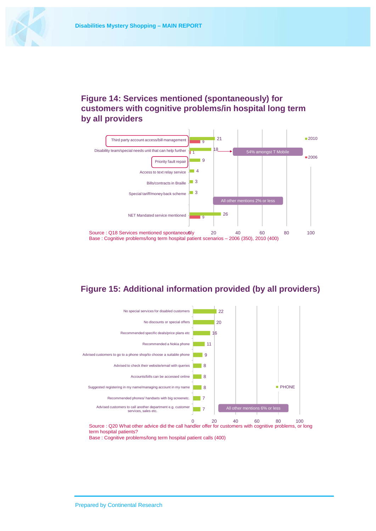

#### **Figure 14: Services mentioned (spontaneously) for customers with cognitive problems/in hospital long term by all providers**



#### **Figure 15: Additional information provided (by all providers)**



0 20 40 60 80 100 Source : Q20 What other advice did the call handler offer for customers with cognitive problems, or long term hospital patients?

Base : Cognitive problems/long term hospital patient calls (400)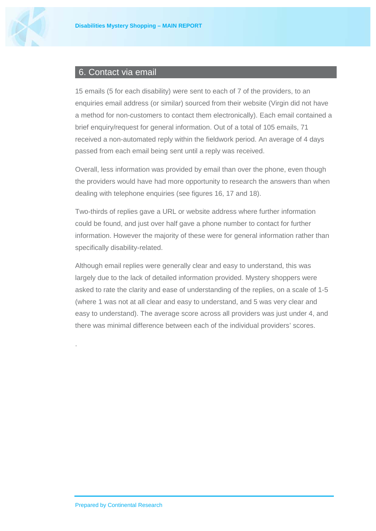

#### <span id="page-21-0"></span>6. Contact via email

15 emails (5 for each disability) were sent to each of 7 of the providers, to an enquiries email address (or similar) sourced from their website (Virgin did not have a method for non-customers to contact them electronically). Each email contained a brief enquiry/request for general information. Out of a total of 105 emails, 71 received a non-automated reply within the fieldwork period. An average of 4 days passed from each email being sent until a reply was received.

Overall, less information was provided by email than over the phone, even though the providers would have had more opportunity to research the answers than when dealing with telephone enquiries (see figures 16, 17 and 18).

Two-thirds of replies gave a URL or website address where further information could be found, and just over half gave a phone number to contact for further information. However the majority of these were for general information rather than specifically disability-related.

Although email replies were generally clear and easy to understand, this was largely due to the lack of detailed information provided. Mystery shoppers were asked to rate the clarity and ease of understanding of the replies, on a scale of 1-5 (where 1 was not at all clear and easy to understand, and 5 was very clear and easy to understand). The average score across all providers was just under 4, and there was minimal difference between each of the individual providers' scores.

.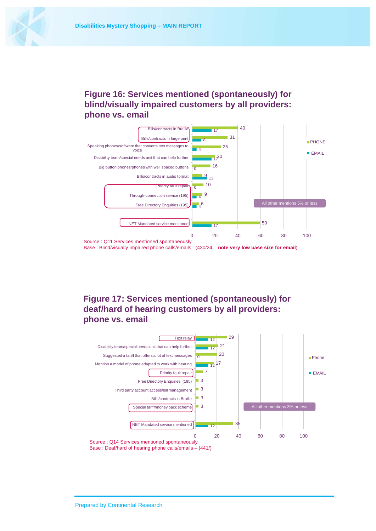

#### **Figure 16: Services mentioned (spontaneously) for blind/visually impaired customers by all providers: phone vs. email**



Base : Blind/visually impaired phone calls/emails –(430/24 – **note very low base size for email**)

#### **Figure 17: Services mentioned (spontaneously) for deaf/hard of hearing customers by all providers: phone vs. email**

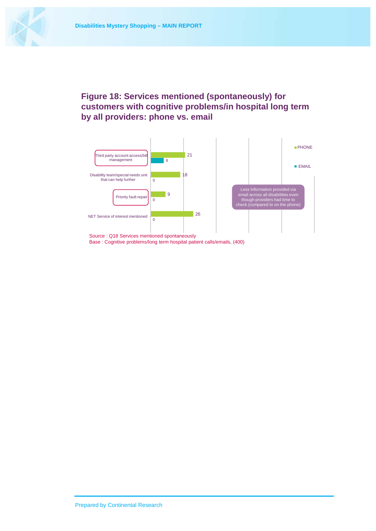

#### **Figure 18: Services mentioned (spontaneously) for customers with cognitive problems/in hospital long term by all providers: phone vs. email**

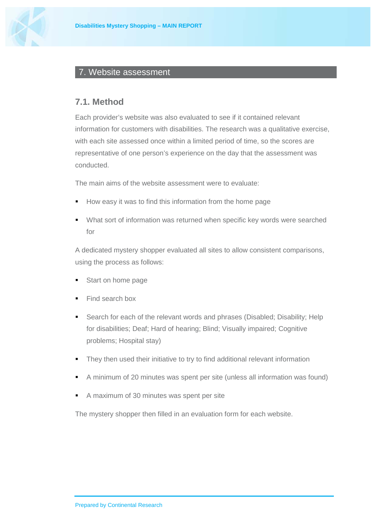

#### <span id="page-24-0"></span>7. Website assessment

#### <span id="page-24-1"></span>**7.1. Method**

Each provider's website was also evaluated to see if it contained relevant information for customers with disabilities. The research was a qualitative exercise, with each site assessed once within a limited period of time, so the scores are representative of one person's experience on the day that the assessment was conducted.

The main aims of the website assessment were to evaluate:

- How easy it was to find this information from the home page
- What sort of information was returned when specific key words were searched for

A dedicated mystery shopper evaluated all sites to allow consistent comparisons, using the process as follows:

- Start on home page
- Find search box
- Search for each of the relevant words and phrases (Disabled; Disability; Help for disabilities; Deaf; Hard of hearing; Blind; Visually impaired; Cognitive problems; Hospital stay)
- They then used their initiative to try to find additional relevant information
- A minimum of 20 minutes was spent per site (unless all information was found)
- A maximum of 30 minutes was spent per site

The mystery shopper then filled in an evaluation form for each website.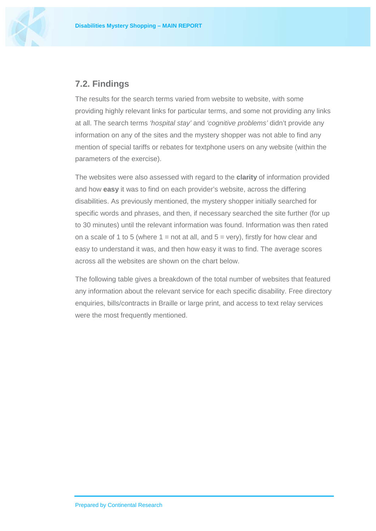

#### <span id="page-25-0"></span>**7.2. Findings**

The results for the search terms varied from website to website, with some providing highly relevant links for particular terms, and some not providing any links at all. The search terms *'hospital stay'* and *'cognitive problems'* didn't provide any information on any of the sites and the mystery shopper was not able to find any mention of special tariffs or rebates for textphone users on any website (within the parameters of the exercise).

The websites were also assessed with regard to the **clarity** of information provided and how **easy** it was to find on each provider's website, across the differing disabilities. As previously mentioned, the mystery shopper initially searched for specific words and phrases, and then, if necessary searched the site further (for up to 30 minutes) until the relevant information was found. Information was then rated on a scale of 1 to 5 (where  $1 = \text{not}$  at all, and  $5 = \text{very}$ ), firstly for how clear and easy to understand it was, and then how easy it was to find. The average scores across all the websites are shown on the chart below.

The following table gives a breakdown of the total number of websites that featured any information about the relevant service for each specific disability. Free directory enquiries, bills/contracts in Braille or large print, and access to text relay services were the most frequently mentioned.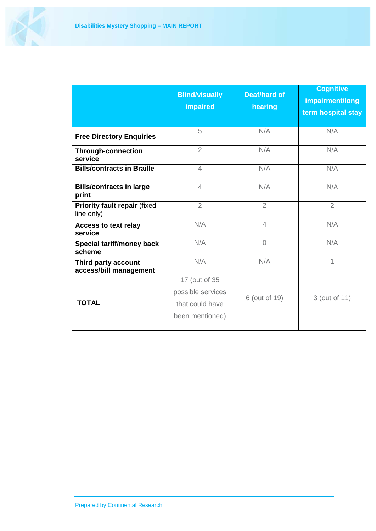

|                                               | <b>Blind/visually</b><br>impaired                                        | <b>Deaf/hard of</b><br>hearing | <b>Cognitive</b><br>impairment/long<br>term hospital stay |
|-----------------------------------------------|--------------------------------------------------------------------------|--------------------------------|-----------------------------------------------------------|
| <b>Free Directory Enquiries</b>               | 5                                                                        | N/A                            | N/A                                                       |
| <b>Through-connection</b><br>service          | $\overline{2}$                                                           | N/A                            | N/A                                                       |
| <b>Bills/contracts in Braille</b>             | $\overline{4}$                                                           | N/A                            | N/A                                                       |
| <b>Bills/contracts in large</b><br>print      | $\overline{4}$                                                           | N/A                            | N/A                                                       |
| Priority fault repair (fixed<br>line only)    | $\overline{2}$                                                           | $\overline{2}$                 | $\overline{2}$                                            |
| <b>Access to text relay</b><br>service        | N/A                                                                      | $\overline{4}$                 | N/A                                                       |
| <b>Special tariff/money back</b><br>scheme    | N/A                                                                      | $\overline{0}$                 | N/A                                                       |
| Third party account<br>access/bill management | N/A                                                                      | N/A                            | 1                                                         |
| <b>TOTAL</b>                                  | 17 (out of 35<br>possible services<br>that could have<br>been mentioned) | 6 (out of 19)                  | 3 (out of 11)                                             |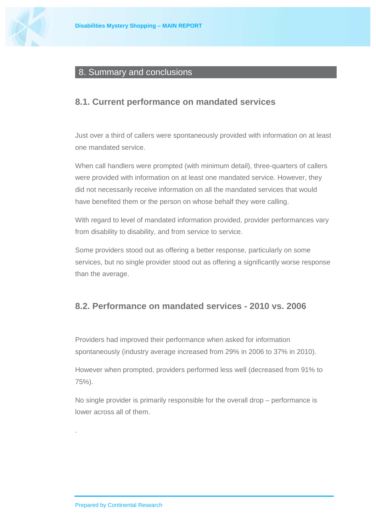

#### <span id="page-27-0"></span>8. Summary and conclusions

#### <span id="page-27-1"></span>**8.1. Current performance on mandated services**

Just over a third of callers were spontaneously provided with information on at least one mandated service.

When call handlers were prompted (with minimum detail), three-quarters of callers were provided with information on at least one mandated service. However, they did not necessarily receive information on all the mandated services that would have benefited them or the person on whose behalf they were calling.

With regard to level of mandated information provided, provider performances vary from disability to disability, and from service to service.

Some providers stood out as offering a better response, particularly on some services, but no single provider stood out as offering a significantly worse response than the average.

#### <span id="page-27-2"></span>**8.2. Performance on mandated services - 2010 vs. 2006**

Providers had improved their performance when asked for information spontaneously (industry average increased from 29% in 2006 to 37% in 2010).

However when prompted, providers performed less well (decreased from 91% to 75%).

No single provider is primarily responsible for the overall drop – performance is lower across all of them.

.